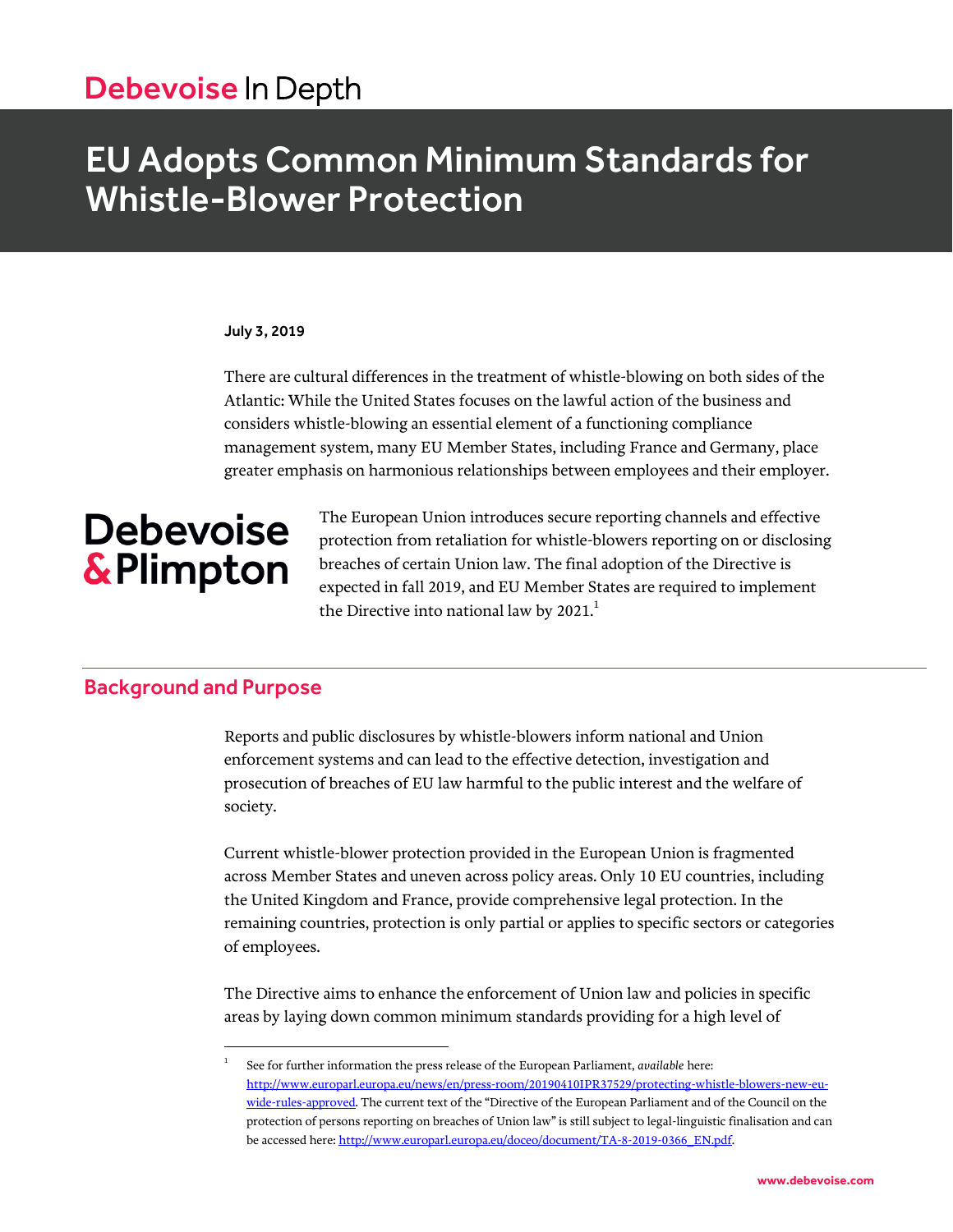# Debevoise In Depth

# EU Adopts Common Minimum Standards for Whistle-Blower Protection

#### July 3, 2019

There are cultural differences in the treatment of whistle-blowing on both sides of the Atlantic: While the United States focuses on the lawful action of the business and considers whistle-blowing an essential element of a functioning compliance management system, many EU Member States, including France and Germany, place greater emphasis on harmonious relationships between employees and their employer.

# **Debevoise** & Plimpton

The European Union introduces secure reporting channels and effective protection from retaliation for whistle-blowers reporting on or disclosing breaches of certain Union law. The final adoption of the Directive is expected in fall 2019, and EU Member States are required to implement the Directive into national law by  $2021$ .<sup>1</sup>

# Background and Purpose

l

Reports and public disclosures by whistle-blowers inform national and Union enforcement systems and can lead to the effective detection, investigation and prosecution of breaches of EU law harmful to the public interest and the welfare of society.

Current whistle-blower protection provided in the European Union is fragmented across Member States and uneven across policy areas. Only 10 EU countries, including the United Kingdom and France, provide comprehensive legal protection. In the remaining countries, protection is only partial or applies to specific sectors or categories of employees.

The Directive aims to enhance the enforcement of Union law and policies in specific areas by laying down common minimum standards providing for a high level of

<sup>1</sup> See for further information the press release of the European Parliament, *available* here: [http://www.europarl.europa.eu/news/en/press-room/20190410IPR37529/protecting-whistle-blowers-new-eu](http://www.europarl.europa.eu/news/en/press-room/20190410IPR37529/protecting-whistle-blowers-new-eu-wide-rules-approved)[wide-rules-approved.](http://www.europarl.europa.eu/news/en/press-room/20190410IPR37529/protecting-whistle-blowers-new-eu-wide-rules-approved) The current text of the "Directive of the European Parliament and of the Council on the protection of persons reporting on breaches of Union law" is still subject to legal-linguistic finalisation and can be accessed here[: http://www.europarl.europa.eu/doceo/document/TA-8-2019-0366\\_EN.pdf.](http://www.europarl.europa.eu/doceo/document/TA-8-2019-0366_EN.pdf)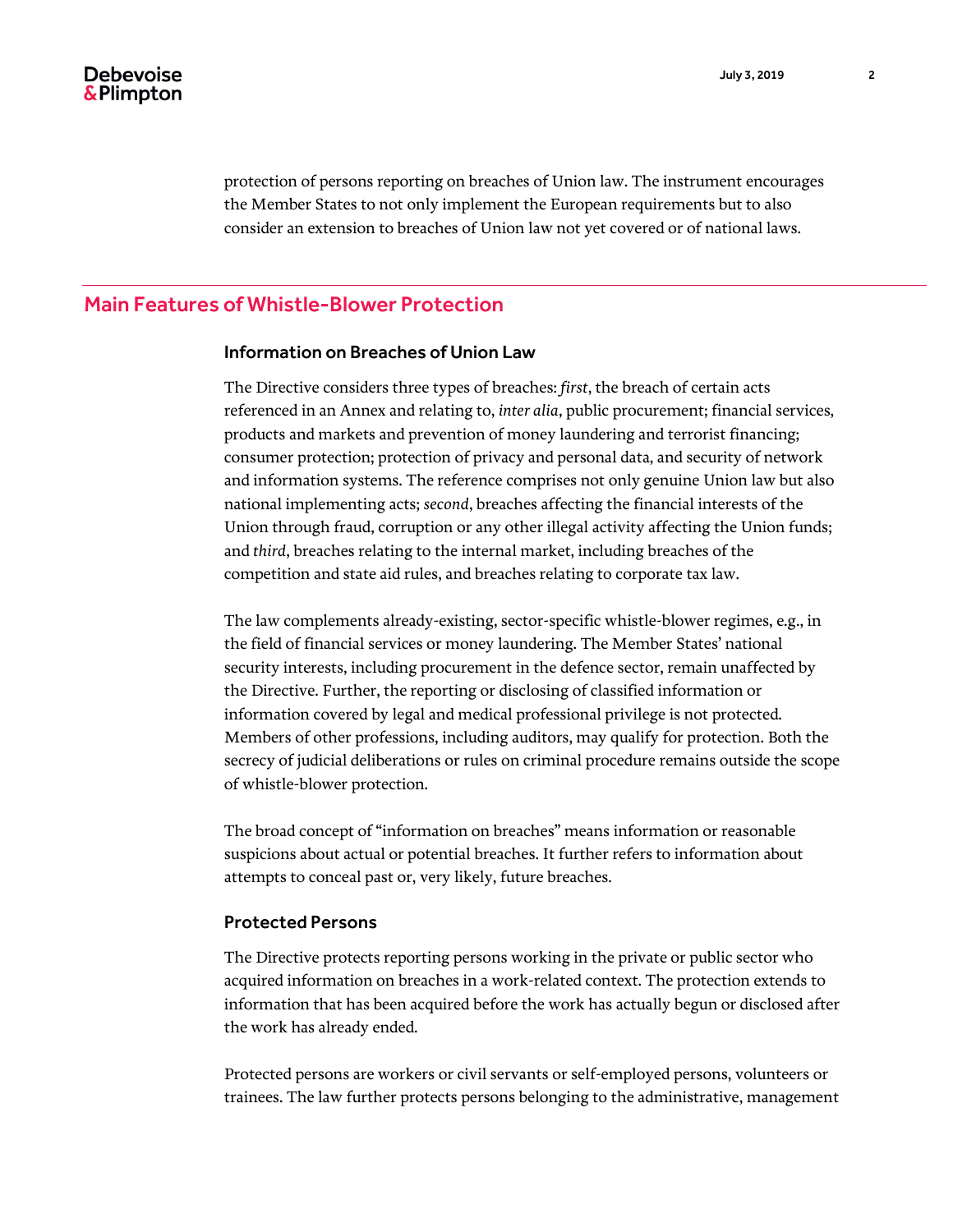protection of persons reporting on breaches of Union law. The instrument encourages the Member States to not only implement the European requirements but to also consider an extension to breaches of Union law not yet covered or of national laws.

## Main Features of Whistle-Blower Protection

#### Information on Breaches of Union Law

The Directive considers three types of breaches: *first*, the breach of certain acts referenced in an Annex and relating to, *inter alia*, public procurement; financial services, products and markets and prevention of money laundering and terrorist financing; consumer protection; protection of privacy and personal data, and security of network and information systems. The reference comprises not only genuine Union law but also national implementing acts; *second*, breaches affecting the financial interests of the Union through fraud, corruption or any other illegal activity affecting the Union funds; and *third*, breaches relating to the internal market, including breaches of the competition and state aid rules, and breaches relating to corporate tax law.

The law complements already-existing, sector-specific whistle-blower regimes, e.g., in the field of financial services or money laundering. The Member States' national security interests, including procurement in the defence sector, remain unaffected by the Directive. Further, the reporting or disclosing of classified information or information covered by legal and medical professional privilege is not protected. Members of other professions, including auditors, may qualify for protection. Both the secrecy of judicial deliberations or rules on criminal procedure remains outside the scope of whistle-blower protection.

The broad concept of "information on breaches" means information or reasonable suspicions about actual or potential breaches. It further refers to information about attempts to conceal past or, very likely, future breaches.

#### Protected Persons

The Directive protects reporting persons working in the private or public sector who acquired information on breaches in a work-related context. The protection extends to information that has been acquired before the work has actually begun or disclosed after the work has already ended.

Protected persons are workers or civil servants or self-employed persons, volunteers or trainees. The law further protects persons belonging to the administrative, management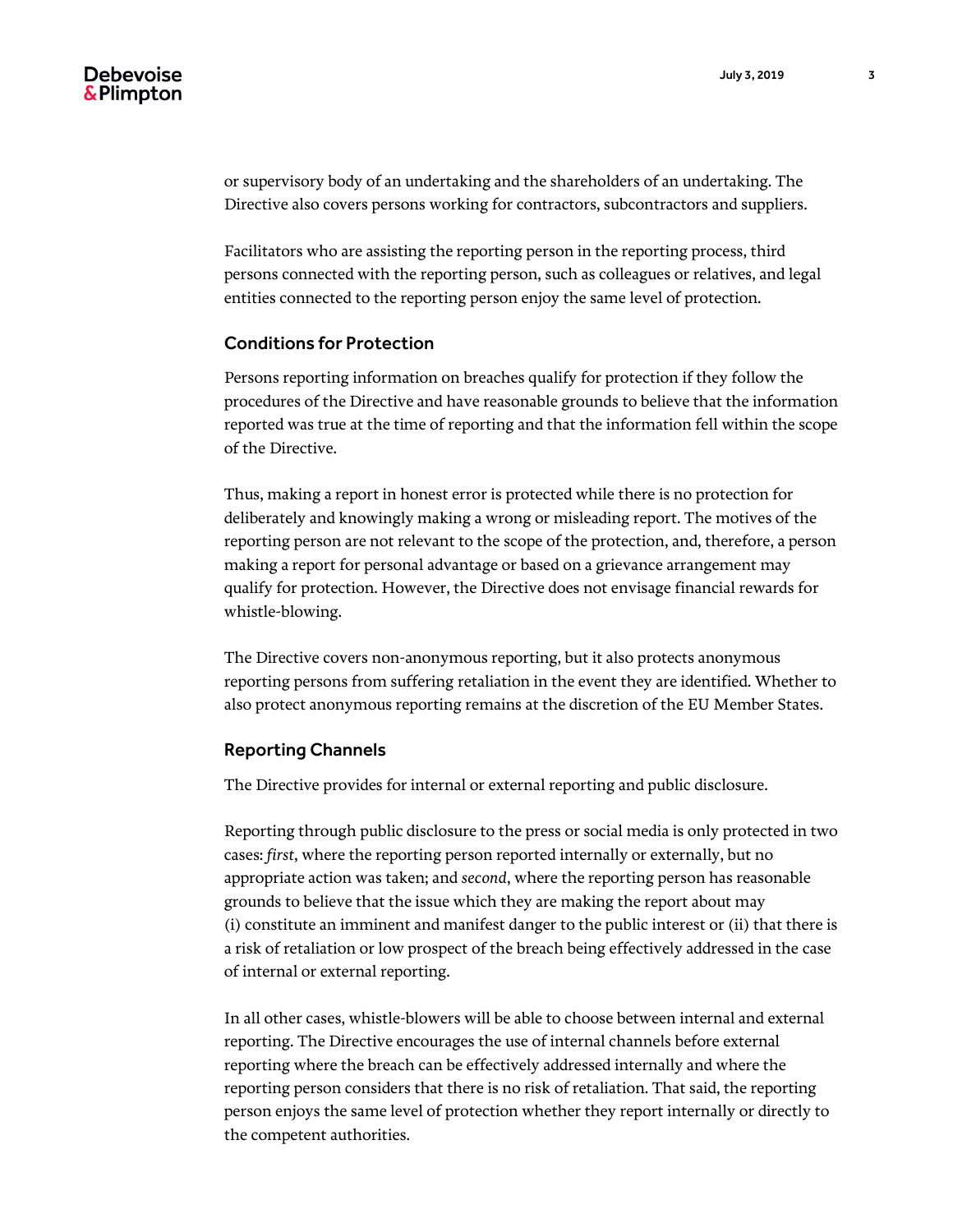or supervisory body of an undertaking and the shareholders of an undertaking. The Directive also covers persons working for contractors, subcontractors and suppliers.

Facilitators who are assisting the reporting person in the reporting process, third persons connected with the reporting person, such as colleagues or relatives, and legal entities connected to the reporting person enjoy the same level of protection.

#### Conditions for Protection

Persons reporting information on breaches qualify for protection if they follow the procedures of the Directive and have reasonable grounds to believe that the information reported was true at the time of reporting and that the information fell within the scope of the Directive.

Thus, making a report in honest error is protected while there is no protection for deliberately and knowingly making a wrong or misleading report. The motives of the reporting person are not relevant to the scope of the protection, and, therefore, a person making a report for personal advantage or based on a grievance arrangement may qualify for protection. However, the Directive does not envisage financial rewards for whistle-blowing.

The Directive covers non-anonymous reporting, but it also protects anonymous reporting persons from suffering retaliation in the event they are identified. Whether to also protect anonymous reporting remains at the discretion of the EU Member States.

#### Reporting Channels

The Directive provides for internal or external reporting and public disclosure.

Reporting through public disclosure to the press or social media is only protected in two cases: *first*, where the reporting person reported internally or externally, but no appropriate action was taken; and *second*, where the reporting person has reasonable grounds to believe that the issue which they are making the report about may (i) constitute an imminent and manifest danger to the public interest or (ii) that there is a risk of retaliation or low prospect of the breach being effectively addressed in the case of internal or external reporting.

In all other cases, whistle-blowers will be able to choose between internal and external reporting. The Directive encourages the use of internal channels before external reporting where the breach can be effectively addressed internally and where the reporting person considers that there is no risk of retaliation. That said, the reporting person enjoys the same level of protection whether they report internally or directly to the competent authorities.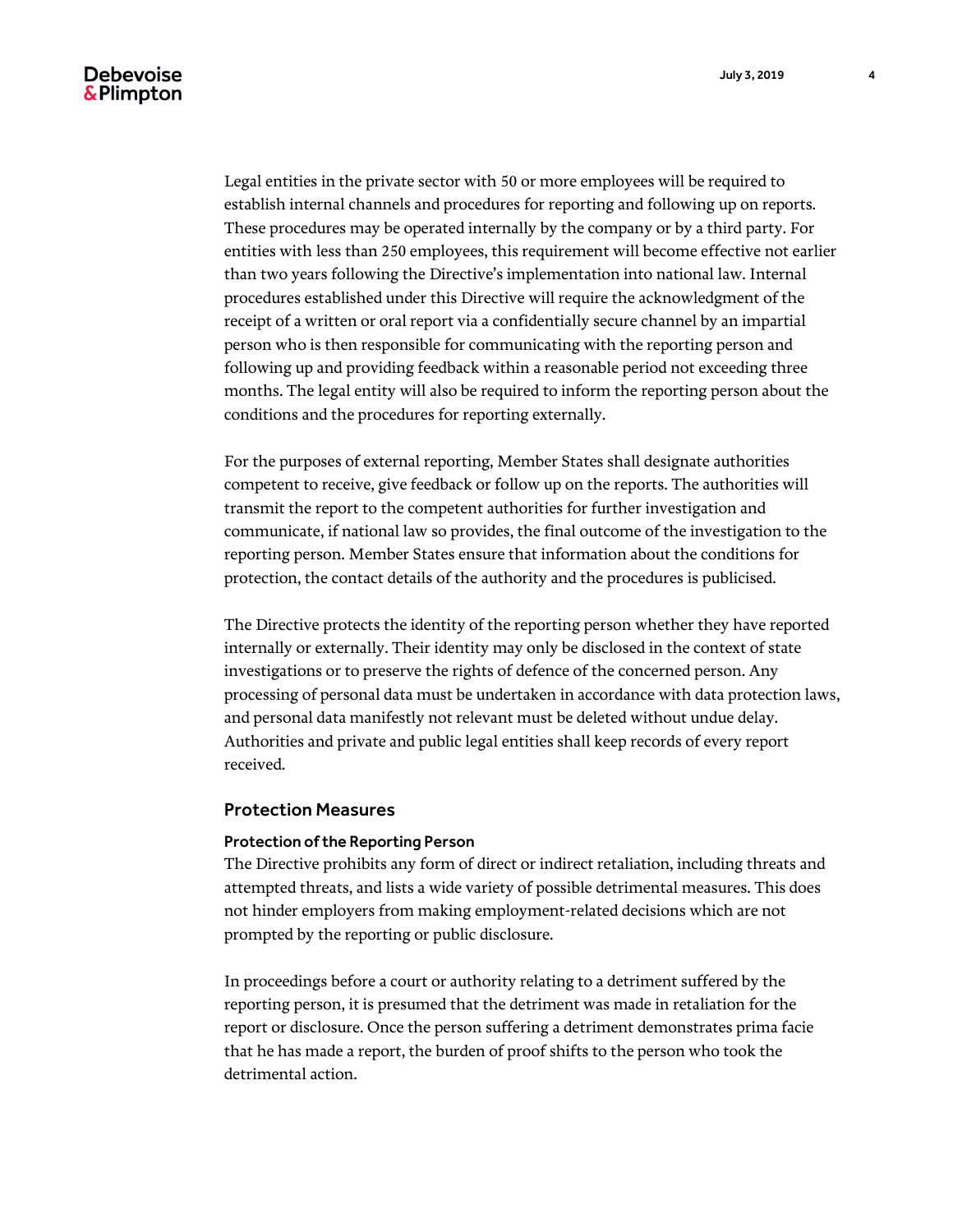## **Debevoise** & Plimpton

Legal entities in the private sector with 50 or more employees will be required to establish internal channels and procedures for reporting and following up on reports. These procedures may be operated internally by the company or by a third party. For entities with less than 250 employees, this requirement will become effective not earlier than two years following the Directive's implementation into national law. Internal procedures established under this Directive will require the acknowledgment of the receipt of a written or oral report via a confidentially secure channel by an impartial person who is then responsible for communicating with the reporting person and following up and providing feedback within a reasonable period not exceeding three months. The legal entity will also be required to inform the reporting person about the conditions and the procedures for reporting externally.

For the purposes of external reporting, Member States shall designate authorities competent to receive, give feedback or follow up on the reports. The authorities will transmit the report to the competent authorities for further investigation and communicate, if national law so provides, the final outcome of the investigation to the reporting person. Member States ensure that information about the conditions for protection, the contact details of the authority and the procedures is publicised.

The Directive protects the identity of the reporting person whether they have reported internally or externally. Their identity may only be disclosed in the context of state investigations or to preserve the rights of defence of the concerned person. Any processing of personal data must be undertaken in accordance with data protection laws, and personal data manifestly not relevant must be deleted without undue delay. Authorities and private and public legal entities shall keep records of every report received.

#### Protection Measures

#### Protection of the Reporting Person

The Directive prohibits any form of direct or indirect retaliation, including threats and attempted threats, and lists a wide variety of possible detrimental measures. This does not hinder employers from making employment-related decisions which are not prompted by the reporting or public disclosure.

In proceedings before a court or authority relating to a detriment suffered by the reporting person, it is presumed that the detriment was made in retaliation for the report or disclosure. Once the person suffering a detriment demonstrates prima facie that he has made a report, the burden of proof shifts to the person who took the detrimental action.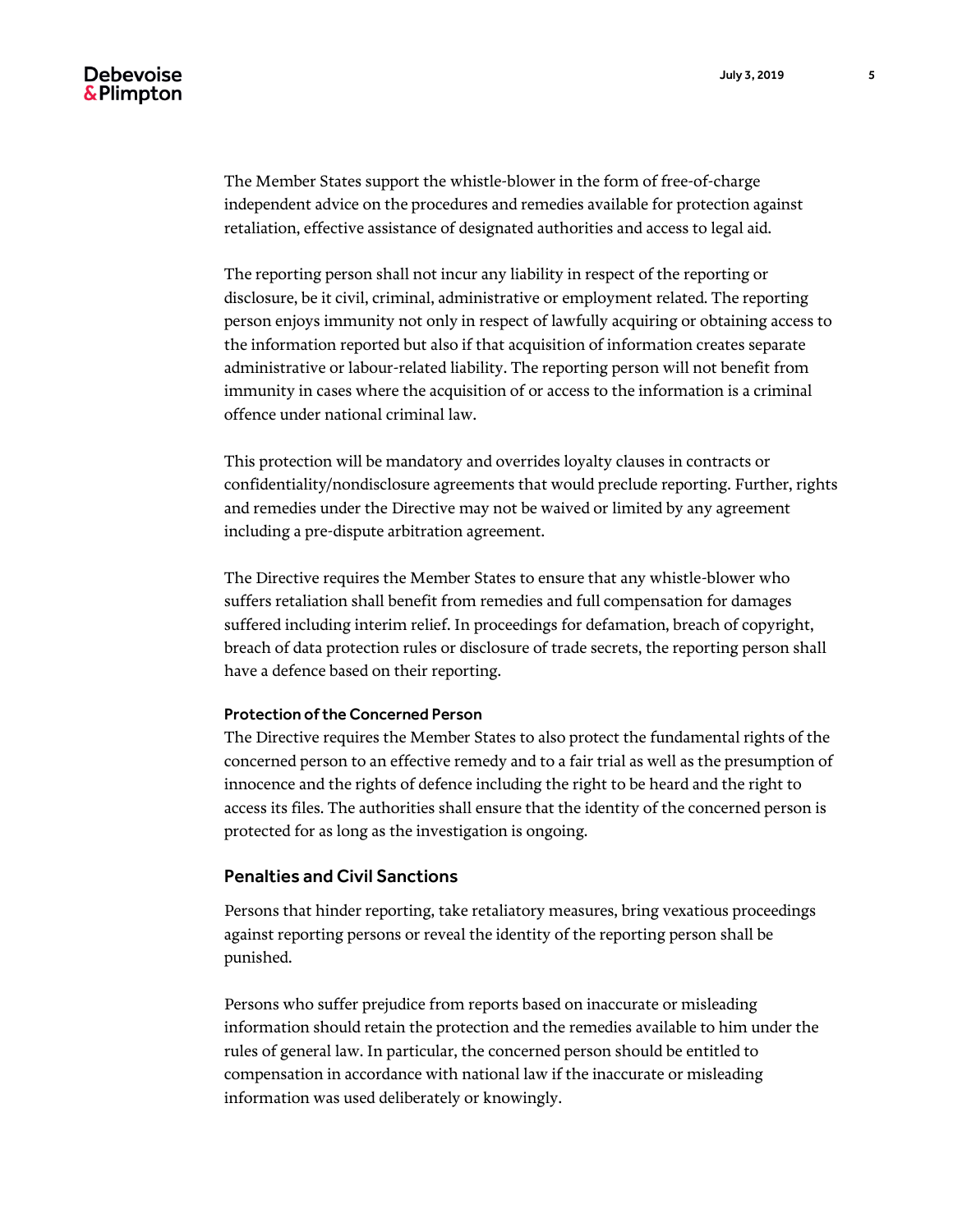The Member States support the whistle-blower in the form of free-of-charge independent advice on the procedures and remedies available for protection against retaliation, effective assistance of designated authorities and access to legal aid.

The reporting person shall not incur any liability in respect of the reporting or disclosure, be it civil, criminal, administrative or employment related. The reporting person enjoys immunity not only in respect of lawfully acquiring or obtaining access to the information reported but also if that acquisition of information creates separate administrative or labour-related liability. The reporting person will not benefit from immunity in cases where the acquisition of or access to the information is a criminal offence under national criminal law.

This protection will be mandatory and overrides loyalty clauses in contracts or confidentiality/nondisclosure agreements that would preclude reporting. Further, rights and remedies under the Directive may not be waived or limited by any agreement including a pre-dispute arbitration agreement.

The Directive requires the Member States to ensure that any whistle-blower who suffers retaliation shall benefit from remedies and full compensation for damages suffered including interim relief. In proceedings for defamation, breach of copyright, breach of data protection rules or disclosure of trade secrets, the reporting person shall have a defence based on their reporting.

#### Protection of the Concerned Person

The Directive requires the Member States to also protect the fundamental rights of the concerned person to an effective remedy and to a fair trial as well as the presumption of innocence and the rights of defence including the right to be heard and the right to access its files. The authorities shall ensure that the identity of the concerned person is protected for as long as the investigation is ongoing.

#### Penalties and Civil Sanctions

Persons that hinder reporting, take retaliatory measures, bring vexatious proceedings against reporting persons or reveal the identity of the reporting person shall be punished.

Persons who suffer prejudice from reports based on inaccurate or misleading information should retain the protection and the remedies available to him under the rules of general law. In particular, the concerned person should be entitled to compensation in accordance with national law if the inaccurate or misleading information was used deliberately or knowingly.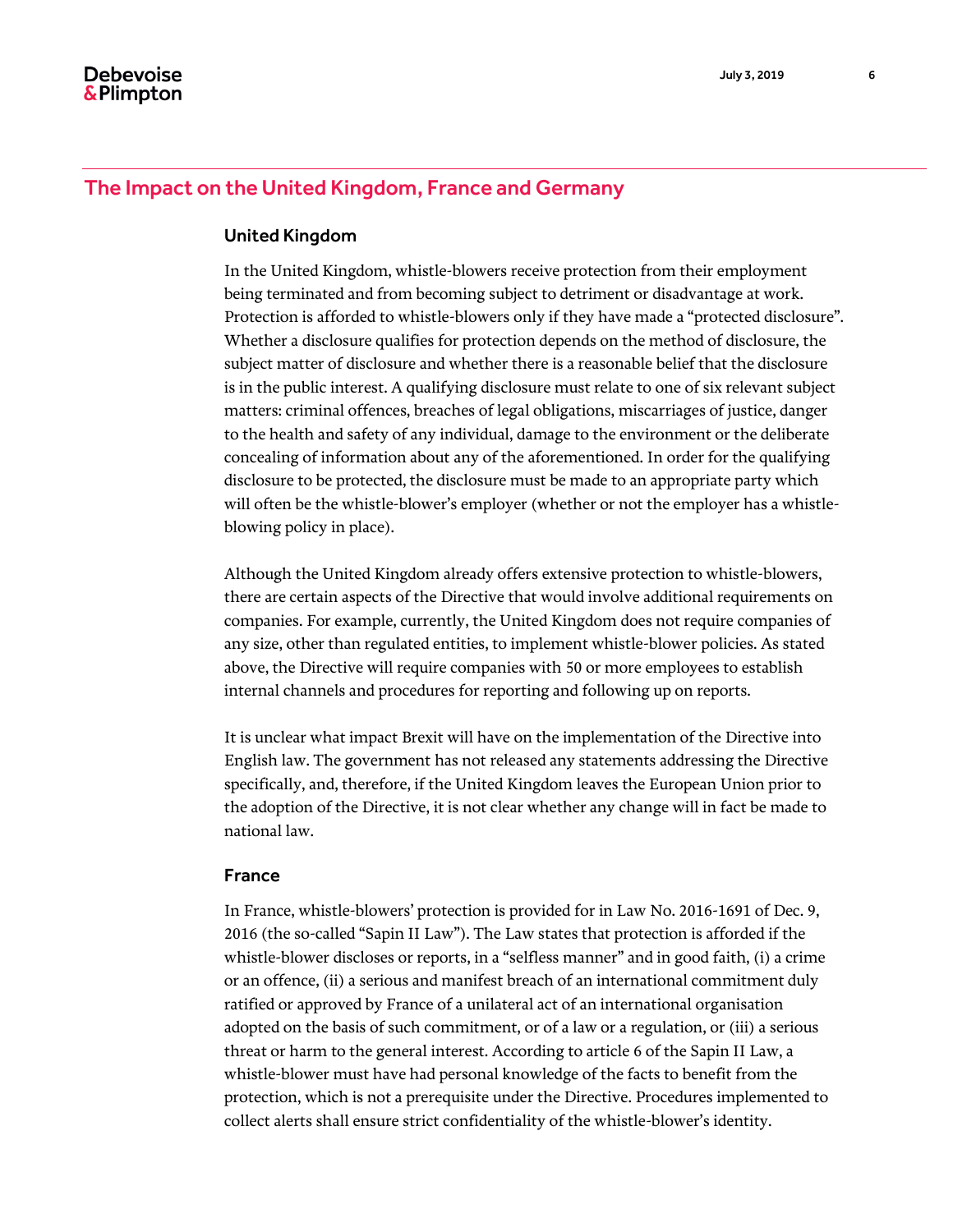# The Impact on the United Kingdom, France and Germany

#### United Kingdom

In the United Kingdom, whistle-blowers receive protection from their employment being terminated and from becoming subject to detriment or disadvantage at work. Protection is afforded to whistle-blowers only if they have made a "protected disclosure". Whether a disclosure qualifies for protection depends on the method of disclosure, the subject matter of disclosure and whether there is a reasonable belief that the disclosure is in the public interest. A qualifying disclosure must relate to one of six relevant subject matters: criminal offences, breaches of legal obligations, miscarriages of justice, danger to the health and safety of any individual, damage to the environment or the deliberate concealing of information about any of the aforementioned. In order for the qualifying disclosure to be protected, the disclosure must be made to an appropriate party which will often be the whistle-blower's employer (whether or not the employer has a whistleblowing policy in place).

Although the United Kingdom already offers extensive protection to whistle-blowers, there are certain aspects of the Directive that would involve additional requirements on companies. For example, currently, the United Kingdom does not require companies of any size, other than regulated entities, to implement whistle-blower policies. As stated above, the Directive will require companies with 50 or more employees to establish internal channels and procedures for reporting and following up on reports.

It is unclear what impact Brexit will have on the implementation of the Directive into English law. The government has not released any statements addressing the Directive specifically, and, therefore, if the United Kingdom leaves the European Union prior to the adoption of the Directive, it is not clear whether any change will in fact be made to national law.

#### France

In France, whistle-blowers' protection is provided for in Law No. 2016-1691 of Dec. 9, 2016 (the so-called "Sapin II Law"). The Law states that protection is afforded if the whistle-blower discloses or reports, in a "selfless manner" and in good faith, (i) a crime or an offence, (ii) a serious and manifest breach of an international commitment duly ratified or approved by France of a unilateral act of an international organisation adopted on the basis of such commitment, or of a law or a regulation, or (iii) a serious threat or harm to the general interest. According to article 6 of the Sapin II Law, a whistle-blower must have had personal knowledge of the facts to benefit from the protection, which is not a prerequisite under the Directive. Procedures implemented to collect alerts shall ensure strict confidentiality of the whistle-blower's identity.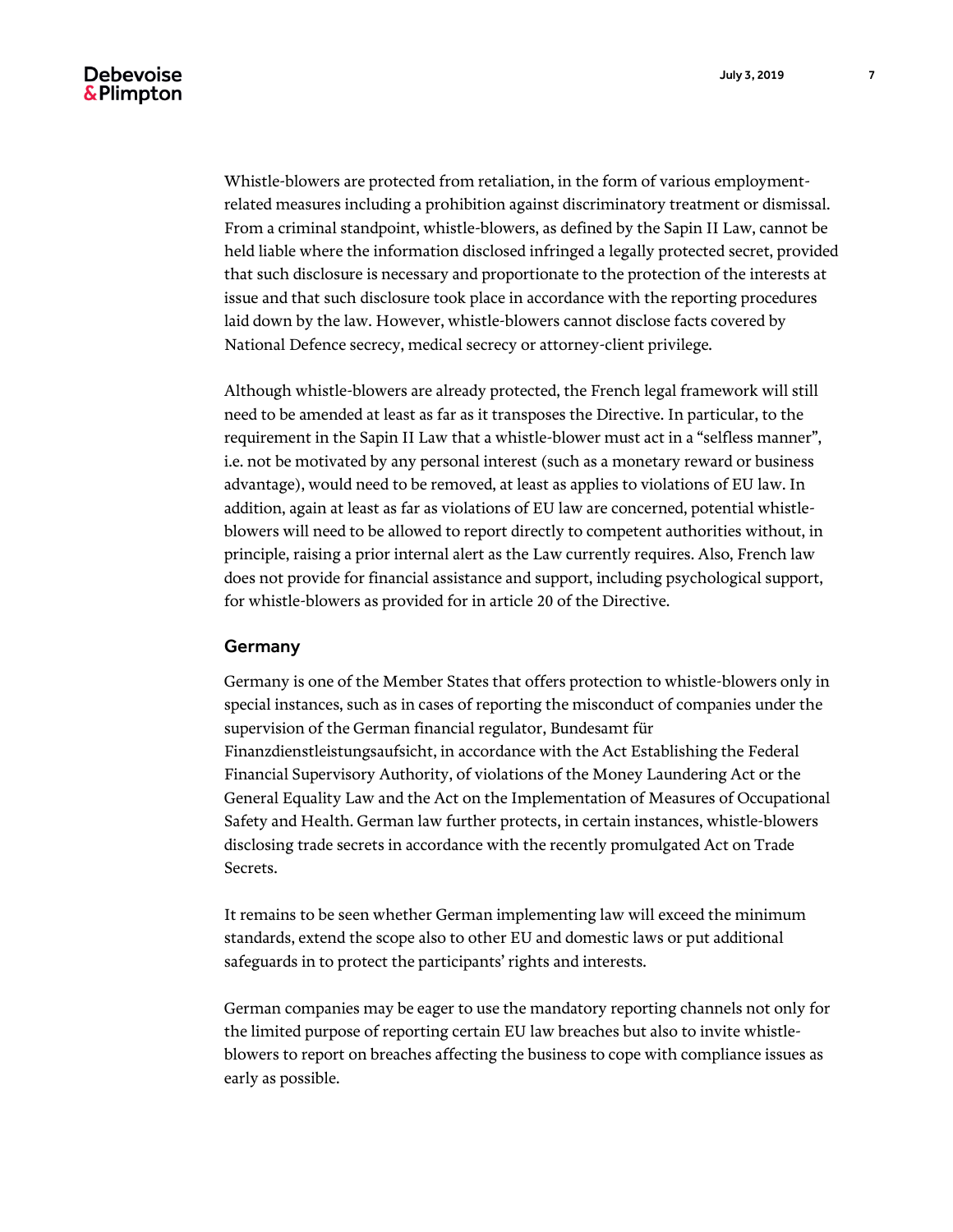Whistle-blowers are protected from retaliation, in the form of various employmentrelated measures including a prohibition against discriminatory treatment or dismissal. From a criminal standpoint, whistle-blowers, as defined by the Sapin II Law, cannot be held liable where the information disclosed infringed a legally protected secret, provided that such disclosure is necessary and proportionate to the protection of the interests at issue and that such disclosure took place in accordance with the reporting procedures laid down by the law. However, whistle-blowers cannot disclose facts covered by National Defence secrecy, medical secrecy or attorney-client privilege.

Although whistle-blowers are already protected, the French legal framework will still need to be amended at least as far as it transposes the Directive. In particular, to the requirement in the Sapin II Law that a whistle-blower must act in a "selfless manner", i.e. not be motivated by any personal interest (such as a monetary reward or business advantage), would need to be removed, at least as applies to violations of EU law. In addition, again at least as far as violations of EU law are concerned, potential whistleblowers will need to be allowed to report directly to competent authorities without, in principle, raising a prior internal alert as the Law currently requires. Also, French law does not provide for financial assistance and support, including psychological support, for whistle-blowers as provided for in article 20 of the Directive.

#### Germany

Germany is one of the Member States that offers protection to whistle-blowers only in special instances, such as in cases of reporting the misconduct of companies under the supervision of the German financial regulator, Bundesamt für Finanzdienstleistungsaufsicht, in accordance with the Act Establishing the Federal Financial Supervisory Authority, of violations of the Money Laundering Act or the General Equality Law and the Act on the Implementation of Measures of Occupational Safety and Health. German law further protects, in certain instances, whistle-blowers disclosing trade secrets in accordance with the recently promulgated Act on Trade Secrets.

It remains to be seen whether German implementing law will exceed the minimum standards, extend the scope also to other EU and domestic laws or put additional safeguards in to protect the participants' rights and interests.

German companies may be eager to use the mandatory reporting channels not only for the limited purpose of reporting certain EU law breaches but also to invite whistleblowers to report on breaches affecting the business to cope with compliance issues as early as possible.